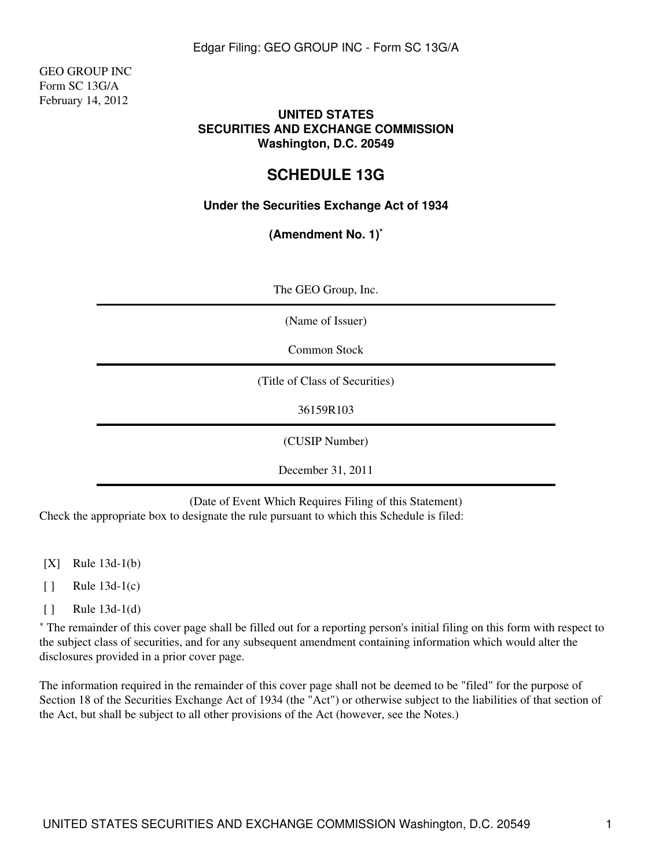GEO GROUP INC Form SC 13G/A February 14, 2012

## **UNITED STATES SECURITIES AND EXCHANGE COMMISSION Washington, D.C. 20549**

# **SCHEDULE 13G**

# **Under the Securities Exchange Act of 1934**

**(Amendment No. 1)\***

| The GEO Group, Inc. |  |
|---------------------|--|
|---------------------|--|

(Name of Issuer)

Common Stock

(Title of Class of Securities)

36159R103

(CUSIP Number)

December 31, 2011

(Date of Event Which Requires Filing of this Statement)

Check the appropriate box to designate the rule pursuant to which this Schedule is filed:

[X] Rule 13d-1(b)

 $\lceil \cdot \rceil$  Rule 13d-1(c)

[ ] Rule 13d-1(d)

\* The remainder of this cover page shall be filled out for a reporting person's initial filing on this form with respect to the subject class of securities, and for any subsequent amendment containing information which would alter the disclosures provided in a prior cover page.

The information required in the remainder of this cover page shall not be deemed to be "filed" for the purpose of Section 18 of the Securities Exchange Act of 1934 (the "Act") or otherwise subject to the liabilities of that section of the Act, but shall be subject to all other provisions of the Act (however, see the Notes.)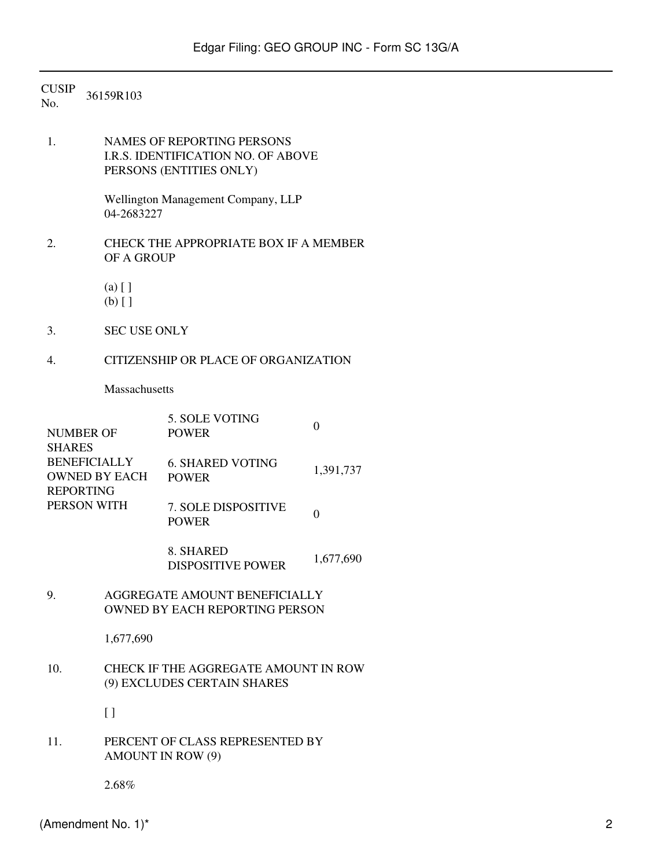CUSIP<br>No. 36159R103

1. NAMES OF REPORTING PERSONS I.R.S. IDENTIFICATION NO. OF ABOVE PERSONS (ENTITIES ONLY)

> Wellington Management Company, LLP 04-2683227

- 2. CHECK THE APPROPRIATE BOX IF A MEMBER OF A GROUP
	- (a) [ ]
	- (b) [ ]
- 3. SEC USE ONLY
- 4. CITIZENSHIP OR PLACE OF ORGANIZATION

Massachusetts

|                      | 5. SOLE VOTING             |                  |
|----------------------|----------------------------|------------------|
| NUMBER OF            | <b>POWER</b>               | $\left( \right)$ |
| <b>SHARES</b>        |                            |                  |
| <b>BENEFICIALLY</b>  | <b>6. SHARED VOTING</b>    |                  |
| <b>OWNED BY EACH</b> | <b>POWER</b>               | 1,391,737        |
| <b>REPORTING</b>     |                            |                  |
| PERSON WITH          | <b>7. SOLE DISPOSITIVE</b> |                  |
|                      | <b>POWER</b>               |                  |
|                      |                            |                  |
|                      |                            |                  |

8. SHARED DISPOSITIVE POWER 1,677,690

## 9. AGGREGATE AMOUNT BENEFICIALLY OWNED BY EACH REPORTING PERSON

1,677,690

## 10. CHECK IF THE AGGREGATE AMOUNT IN ROW (9) EXCLUDES CERTAIN SHARES

 $\lceil$   $\rceil$ 

# 11. PERCENT OF CLASS REPRESENTED BY AMOUNT IN ROW (9)

2.68%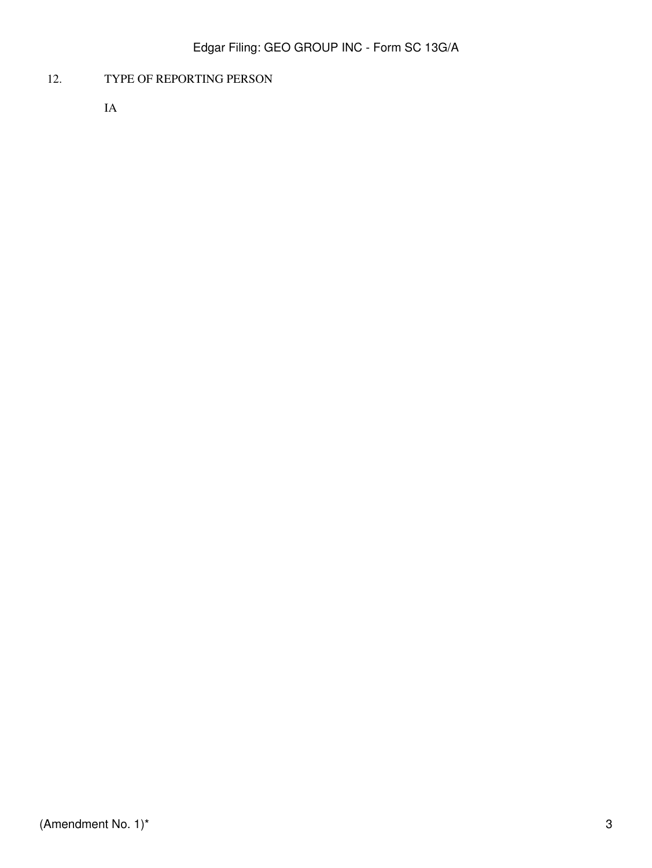# 12. TYPE OF REPORTING PERSON

IA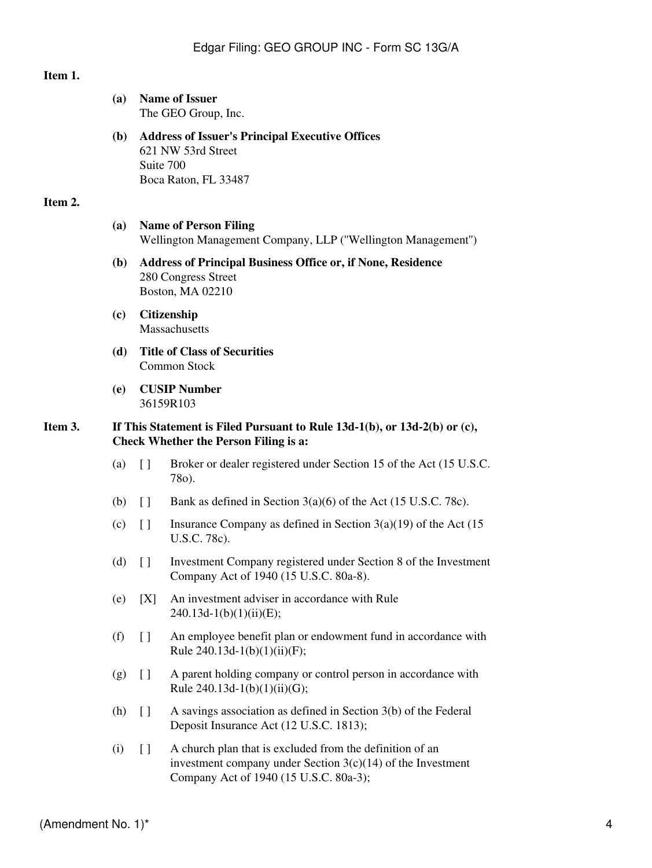**Executive Offices** 

#### **Item 1.**

| (a) | <b>Name of Issuer</b><br>The GEO Group, Inc.                                                    |
|-----|-------------------------------------------------------------------------------------------------|
| (b) | <b>Address of Issuer's Principal</b><br>621 NW 53rd Street<br>Suite 700<br>Boca Raton, FL 33487 |

#### **Item 2.**

#### **(a) Name of Person Filing** Wellington Management Company, LLP (''Wellington Management'')

- **(b) Address of Principal Business Office or, if None, Residence** 280 Congress Street Boston, MA 02210
- **(c) Citizenship** Massachusetts
- **(d) Title of Class of Securities** Common Stock
- **(e) CUSIP Number** 36159R103

#### **Item 3. If This Statement is Filed Pursuant to Rule 13d-1(b), or 13d-2(b) or (c), Check Whether the Person Filing is a:**

- (a) [ ] Broker or dealer registered under Section 15 of the Act (15 U.S.C. 78o).
- (b)  $\Box$  Bank as defined in Section 3(a)(6) of the Act (15 U.S.C. 78c).
- (c)  $\begin{bmatrix} \end{bmatrix}$  Insurance Company as defined in Section 3(a)(19) of the Act (15) U.S.C. 78c).
- (d) [ ] Investment Company registered under Section 8 of the Investment Company Act of 1940 (15 U.S.C. 80a-8).
- (e) [X] An investment adviser in accordance with Rule  $240.13d-1(b)(1)(ii)(E);$
- (f) [ ] An employee benefit plan or endowment fund in accordance with Rule 240.13d-1(b)(1)(ii)(F);
- (g) [ ] A parent holding company or control person in accordance with Rule  $240.13d-1(b)(1)(ii)(G);$
- (h) [ ] A savings association as defined in Section 3(b) of the Federal Deposit Insurance Act (12 U.S.C. 1813);
- $(i)$  [ ] A church plan that is excluded from the definition of an investment company under Section  $3(c)(14)$  of the Investment Company Act of 1940 (15 U.S.C. 80a-3);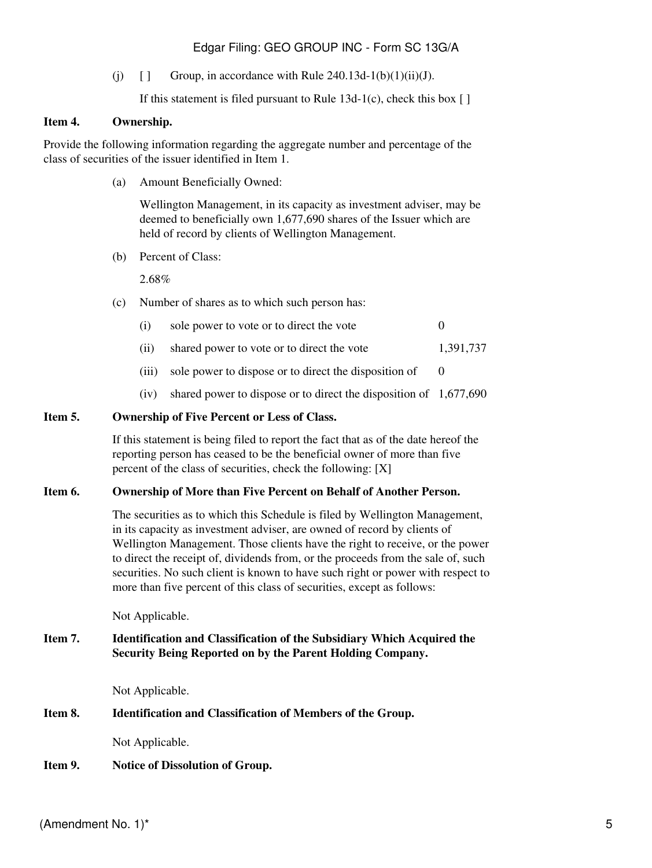# Edgar Filing: GEO GROUP INC - Form SC 13G/A

(j)  $\left[ \right]$  Group, in accordance with Rule 240.13d-1(b)(1)(ii)(J).

If this statement is filed pursuant to Rule  $13d-1(c)$ , check this box [ ]

#### **Item 4. Ownership.**

Provide the following information regarding the aggregate number and percentage of the class of securities of the issuer identified in Item 1.

(a) Amount Beneficially Owned:

Wellington Management, in its capacity as investment adviser, may be deemed to beneficially own 1,677,690 shares of the Issuer which are held of record by clients of Wellington Management.

(b) Percent of Class:

2.68%

(c) Number of shares as to which such person has:

| (i) | sole power to vote or to direct the vote |  |
|-----|------------------------------------------|--|
|-----|------------------------------------------|--|

- (ii) shared power to vote or to direct the vote 1,391,737
- (iii) sole power to dispose or to direct the disposition of  $\qquad 0$
- (iv) shared power to dispose or to direct the disposition of 1,677,690

### **Item 5. Ownership of Five Percent or Less of Class.**

If this statement is being filed to report the fact that as of the date hereof the reporting person has ceased to be the beneficial owner of more than five percent of the class of securities, check the following: [X]

#### **Item 6. Ownership of More than Five Percent on Behalf of Another Person.**

The securities as to which this Schedule is filed by Wellington Management, in its capacity as investment adviser, are owned of record by clients of Wellington Management. Those clients have the right to receive, or the power to direct the receipt of, dividends from, or the proceeds from the sale of, such securities. No such client is known to have such right or power with respect to more than five percent of this class of securities, except as follows:

Not Applicable.

### **Item 7. Identification and Classification of the Subsidiary Which Acquired the Security Being Reported on by the Parent Holding Company.**

Not Applicable.

## **Item 8. Identification and Classification of Members of the Group.**

Not Applicable.

## **Item 9. Notice of Dissolution of Group.**